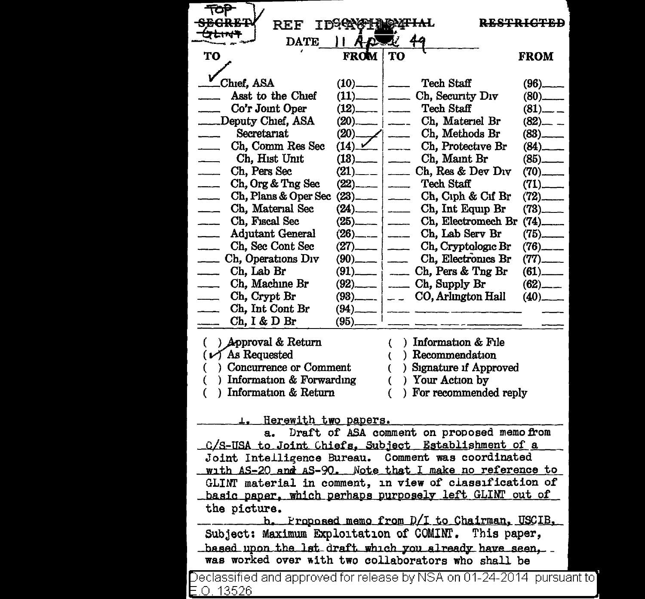| REF                                                                     | <b>IDGGAG</b>                                                                                                                                                                                                                                                                                                         |                                                | <del>.944</del> 4.044.0                        |  |
|-------------------------------------------------------------------------|-----------------------------------------------------------------------------------------------------------------------------------------------------------------------------------------------------------------------------------------------------------------------------------------------------------------------|------------------------------------------------|------------------------------------------------|--|
| ナムサイ<br>$\mathcal{A}$<br><b>DATE</b><br>D.                              |                                                                                                                                                                                                                                                                                                                       |                                                |                                                |  |
| TO                                                                      | <b>FROM</b>                                                                                                                                                                                                                                                                                                           | <b>TO</b>                                      | <b>FROM</b>                                    |  |
|                                                                         |                                                                                                                                                                                                                                                                                                                       |                                                |                                                |  |
| Chief. ASA                                                              | (10)                                                                                                                                                                                                                                                                                                                  | <b>Tech Staff</b><br>—   ——                    | $(96)$ <sub>_____</sub>                        |  |
| Asst to the Chief                                                       | $(11)$ $\frac{1}{2}$ $\frac{1}{2}$ $\frac{1}{2}$ $\frac{1}{2}$ $\frac{1}{2}$ $\frac{1}{2}$ $\frac{1}{2}$ $\frac{1}{2}$ $\frac{1}{2}$ $\frac{1}{2}$ $\frac{1}{2}$ $\frac{1}{2}$ $\frac{1}{2}$ $\frac{1}{2}$ $\frac{1}{2}$ $\frac{1}{2}$ $\frac{1}{2}$ $\frac{1}{2}$ $\frac{1}{2}$ $\frac{1}{2}$ $\frac{1}{2}$ $\frac{$ | Ch, Security Div                               | $(80)$ <sub>_____</sub>                        |  |
| Co'r Joint Oper                                                         | $(12)$ .                                                                                                                                                                                                                                                                                                              | Tech Staff                                     | $(81)$ <sub>--</sub>                           |  |
| Deputy Chief, ASA                                                       | $(20)$ $\frac{1}{2}$                                                                                                                                                                                                                                                                                                  | Ch, Materiel Br                                | $(82)$ <sub>--</sub> --                        |  |
| Secretariat                                                             | (20)                                                                                                                                                                                                                                                                                                                  | Ch, Methods Br<br>∕  ——                        | $(83)$ <sub>____</sub>                         |  |
| Ch, Comm Res Sec<br>Ch, Hist Unit                                       | (14)                                                                                                                                                                                                                                                                                                                  | Ch, Protective Br                              | $(84)$ <sub>-----</sub>                        |  |
| Ch, Pers Sec                                                            | (13)<br>(21)                                                                                                                                                                                                                                                                                                          | Ch, Maint Br<br>__   ____<br>Ch, Res & Dev Div | $(85)$ <sub>_____</sub>                        |  |
| Ch, Org & Tng Sec<br>$\overline{\phantom{a}}$                           | $(22)$ .                                                                                                                                                                                                                                                                                                              | <b>Tech Staff</b>                              | $(70)$ <sub>_____</sub>                        |  |
| Ch, Plans & Oper Sec                                                    | (23)                                                                                                                                                                                                                                                                                                                  | ___   ____<br>Ch, Ciph & Cif Br                | $(71)$ <sub>——</sub><br>$(72)$ <sub>____</sub> |  |
| Ch, Material Sec<br>$\overline{\phantom{a}}$                            | (24)                                                                                                                                                                                                                                                                                                                  | Ch, Int Equip Br<br>____   ____                | $(73)$ <sub>_____</sub>                        |  |
| Ch, Fiscal Sec<br>$\overline{\phantom{a}}$                              |                                                                                                                                                                                                                                                                                                                       | Ch, Electromech Br                             | $(74)$ <sub>____</sub>                         |  |
| <b>Adjutant General</b><br>$\overline{\phantom{0}}$                     | (26)                                                                                                                                                                                                                                                                                                                  | Ch, Lab Serv Br                                | $(75)$ <sub>_____</sub>                        |  |
| Ch, Sec Cont Sec                                                        | (27).                                                                                                                                                                                                                                                                                                                 | Ch, Cryptologic Br                             | $(76)$ <sub>-----</sub>                        |  |
| Ch, Operations Div                                                      | (90).                                                                                                                                                                                                                                                                                                                 | Ch, Electronics Br                             | $(77)$ <sub>------</sub>                       |  |
| Ch, Lab Br                                                              | (91)                                                                                                                                                                                                                                                                                                                  | Ch, Pers & Tng Br<br>$\overline{a}$            |                                                |  |
| Ch, Machine Br                                                          | $(92)$ <sub>______</sub>                                                                                                                                                                                                                                                                                              | Ch, Supply Br                                  | $(62)$ <sub>———</sub>                          |  |
| Ch, Crypt Br                                                            | $(93)$ <sub>—————</sub>                                                                                                                                                                                                                                                                                               | CO, Arlington Hall<br>i — —                    | $(40)$ <sub>---</sub>                          |  |
| Ch, Int Cont Br                                                         | $(94)$ —                                                                                                                                                                                                                                                                                                              |                                                |                                                |  |
| Ch, I & D Br                                                            | (95)_                                                                                                                                                                                                                                                                                                                 |                                                |                                                |  |
| ) Approval & Return<br>€                                                |                                                                                                                                                                                                                                                                                                                       | ) Information & File<br>€                      |                                                |  |
| $(\nu)$ As Requested                                                    |                                                                                                                                                                                                                                                                                                                       | Recommendation                                 |                                                |  |
| Concurrence or Comment                                                  |                                                                                                                                                                                                                                                                                                                       | ) Signature if Approved                        |                                                |  |
| ) Information & Forwarding                                              |                                                                                                                                                                                                                                                                                                                       | ) Your Action by                               |                                                |  |
| ) Information & Return                                                  |                                                                                                                                                                                                                                                                                                                       | For recommended reply                          |                                                |  |
|                                                                         |                                                                                                                                                                                                                                                                                                                       |                                                |                                                |  |
| <u>L. Herewith two papers.</u>                                          |                                                                                                                                                                                                                                                                                                                       |                                                |                                                |  |
| Draft of ASA comment on proposed memo from<br>a.                        |                                                                                                                                                                                                                                                                                                                       |                                                |                                                |  |
| C/S-USA to Joint Chiefs, Subject Establishment of a                     |                                                                                                                                                                                                                                                                                                                       |                                                |                                                |  |
| Joint Intelligence Bureau. Comment was coordinated                      |                                                                                                                                                                                                                                                                                                                       |                                                |                                                |  |
| with AS-20 and AS-90. Note that I make no reference to                  |                                                                                                                                                                                                                                                                                                                       |                                                |                                                |  |
| GLINT material in comment, in view of classification of                 |                                                                                                                                                                                                                                                                                                                       |                                                |                                                |  |
| basic paper, which perhaps purposely left GLINT out of                  |                                                                                                                                                                                                                                                                                                                       |                                                |                                                |  |
| the picture.                                                            |                                                                                                                                                                                                                                                                                                                       |                                                |                                                |  |
|                                                                         | b. Proposed memo from D/I to Chairman, USCIB,                                                                                                                                                                                                                                                                         |                                                |                                                |  |
| Subject: Maximum Exploitation of COMINT. This paper,                    |                                                                                                                                                                                                                                                                                                                       |                                                |                                                |  |
| based upon the lst draft which you already have seen,                   |                                                                                                                                                                                                                                                                                                                       |                                                |                                                |  |
| was worked over with two collaborators who shall be                     |                                                                                                                                                                                                                                                                                                                       |                                                |                                                |  |
| Declassified and approved for release by NSA on 01-24-2014  pursuant to |                                                                                                                                                                                                                                                                                                                       |                                                |                                                |  |
| E.O. 13526                                                              |                                                                                                                                                                                                                                                                                                                       |                                                |                                                |  |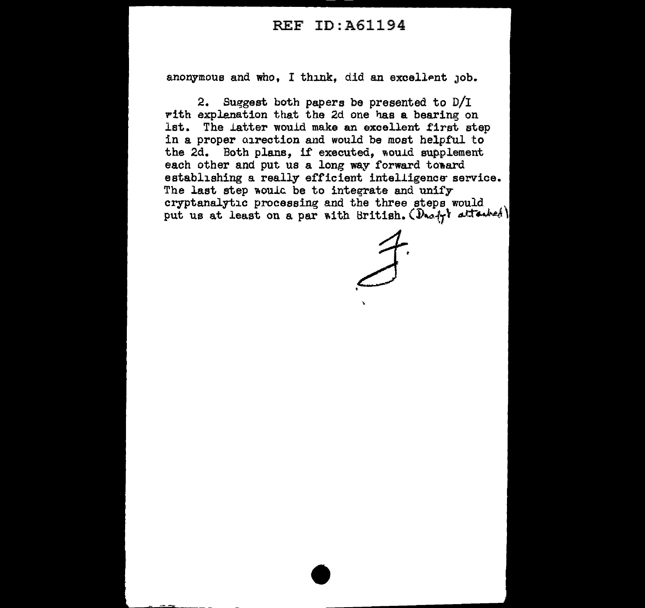## REF ID:A61194

anonymous and who, I think, did an excellent job.

2. Suggest both papers be presented to  $D/T$ rith explenation that the 2d one has a bearing on lat. The latter would make an excellent first step in a proper airection and would be most helpful to the 2d. Both plans, if executed, would supplement each other and put us a long way forward toward establishing a really efficient intelligence service. The last step would be to integrate and unify cryptanalytic processing and the three steps would \ put us at least on a par with British.  $(D_{n\alpha+1}$  attached)

. J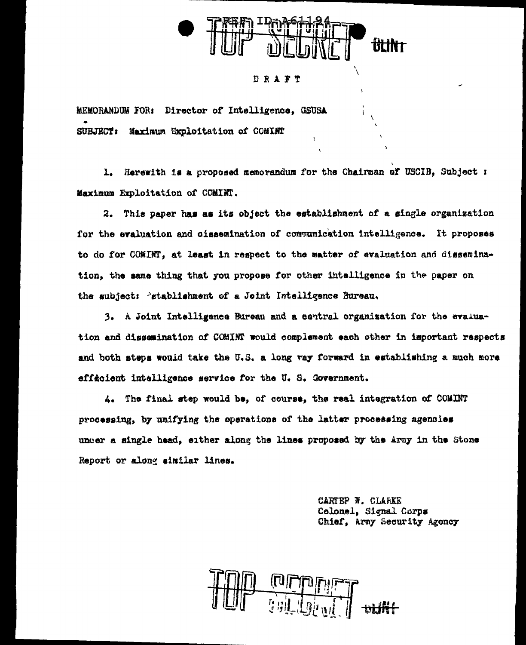

## DRAFT

MEMORANDUM FOR: Director of Intelligence, GSUSA SUBJECT: Maximum Excloitation of COMINT

1. Herewith is a proposed memorandum for the Chairman of USCIB, Subject : Maximum Exploitation of COMINT.

2. This paper has as its object the establishment of a single organization for the evaluation and cissemination of communication intelligence. It proposes to do for COMINT, at least in respect to the matter of evaluation and dissemination, the same thing that you propose for other intelligence in the paper on the subject: 'stablishment of a Joint Intelligence Bureau.

3. A Joint Intelligence Bureau and a central organization for the evaluation and dissemination of COMINT would complement each other in important respects and both steps would take the U.S. a long vay forward in establishing a much more efficient intelligence service for the U.S. Government.

4. The final step would be, of course, the real integration of COMINT processing, by unifying the operations of the latter processing agencies under a single head, either along the lines proposed by the Army in the Stone Report or along similar lines.

> CARTEP W. CLARKE Colonel, Signal Corps Chief, Army Security Agency

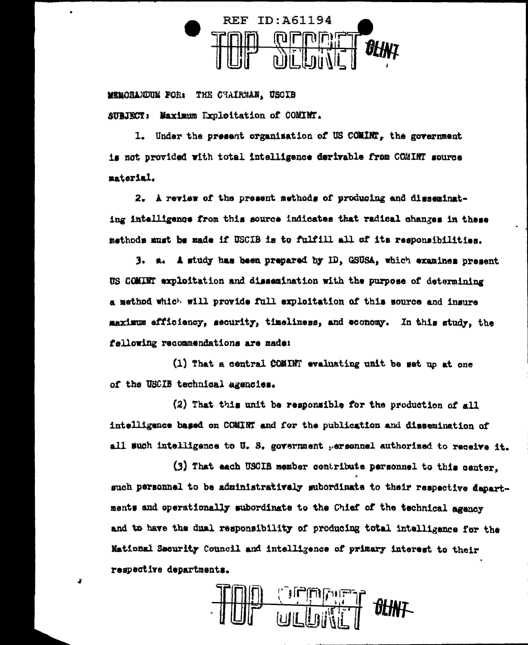

MERCRANDUM FOR: THE CHAIRMAN. USCIB SUBJECT: Maximum Exploitation of COMINT.

3

1. Under the present organization of US COMINT. the government is not provided with total intelligence derivable from COMINT source material.

2. A review of the present methods of producing and disseminating intelligence from this source indicates that radical changes in these methods must be made if USCIB is to fulfill all of its responsibilities.

3. a. A study has been prepared by ID, GSUSA, which examines present US COMINT exploitation and dissemination with the purpose of determining a method which will provide full exploitation of this source and insure maximum efficiency, security, timeliness, and economy. In this study, the fallowing recommendations are made:

(1) That a central COMINT evaluating unit be set up at one of the USCIB technical agencies.

(2) That this unit be responsible for the production of  $a11$ intelligence based on COMINT and for the publication and dissemination of all such intelligence to U. S. government personnel authorized to receive it.

(3) That each USCIB member contribute personnel to this center. such personnel to be administratively subordinate to their respective departments and operationally subordinate to the Chief of the technical agency and to have the dual responsibility of producing total intelligence for the Mational Security Council and intelligence of primary interest to their respective departments.

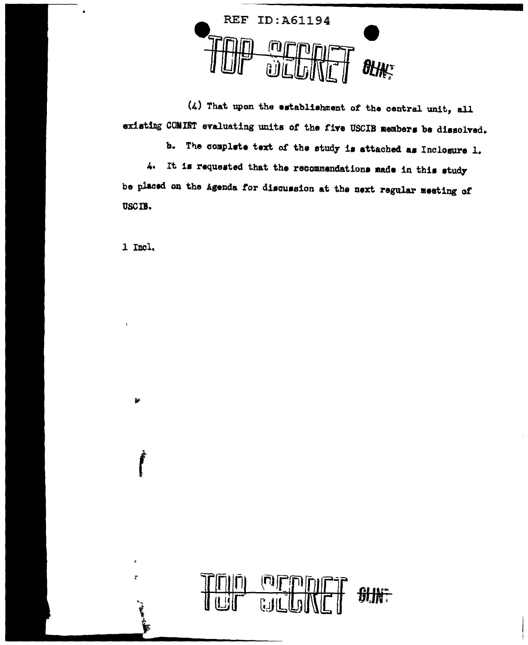

(4) That upon the establishment of the central unit, all existing COMINT evaluating units of the five USCIB members be dissolved.

b. The complete text of the study is attached as Inclosure 1. 4. It is requested that the recommendations made in this study be placed on the Agenda for discussion at the next regular meeting of USCIB.

1 Incl.

ä.

 $\overline{\Gamma}$ 

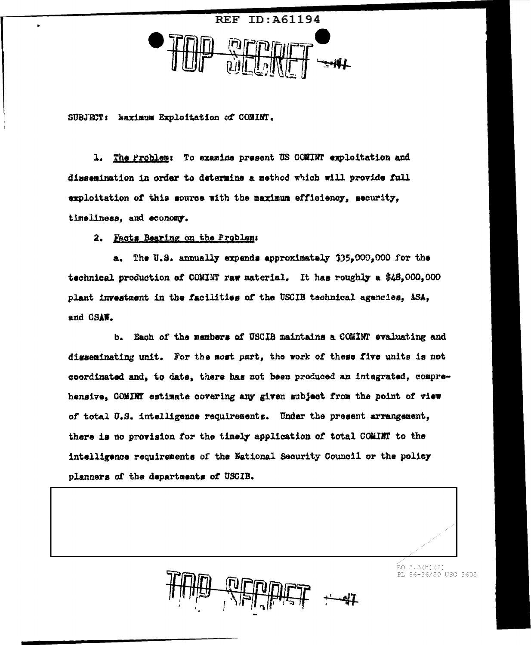

SUBJECT: Naximum Exploitation of COMINT.

1. The Problem: To examine present US COMINT exploitation and dissemination in order to determine a method which will provide full exploitation of this source with the maximum efficiency, security, timeliness, and economy.

2. Facts Bearing on the Problem:

a. The U.S. annually expends approximately 335,000,000 for the technical production of COMINT raw material. It has roughly a \$48,000,000 plant investment in the facilities of the USCIB technical agencies, ASA, and CSAW.

b. Each of the members of USCIB maintains a COMINT evaluating and disseminating unit. For the most part, the work of these five units is not coordinated and, to date, there has not been produced an integrated, comprehensive, COMINT estimate covering any given subject from the point of view of total U.S. intelligence requirements. Undar the present arrangement, there is no provision for the timely application of total COMINT to the intelligence requirements of the National Security Council or the policy planners of the departments of USCIB.

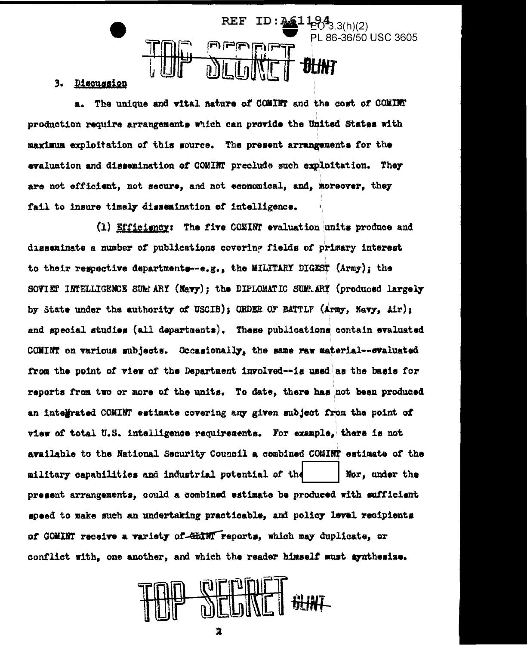

## 3. Discussion

a. The unique and vital nature of COMINT and the cost of COMINT production require arrangements which can provide the United States with maximum exploitation of this source. The present arrangements for the evaluation and dissemination of COMINT preclude such exploitation. They are not efficient, not secure, and not economical, and, moreover, they fail to insure timely dissemination of intelligence.

(1) Efficiency: The five COMINT evaluation units produce and disseminate a number of publications covering fields of primary interest to their respective departments--e.g., the MILITARY DIGEST (Army); the SOVIET INTELLIGENCE SUMMARY (Navy); the DIFLOMATIC SUMMARY (produced largely by State under the authority of USCIB); ORDER OF BATTLF (Army, Navy, Air); and special studies (all departments). These publications contain evaluated COMINT on various subjects. Occasionally, the same raw material--evaluated from the point of view of the Department involved--is used as the basis for reports from two or more of the units. To date, there has not been produced an intelerated COMINT estimate covering any given subject from the point of view of total U.S. intelligence requirements. For example, there is not available to the National Security Council a combined COMINT estimate of the military capabilities and industrial potential of the Nor, under the present arrangements, could a combined estimate be produced with sufficient speed to make such an undertaking practicable, and policy level recipients of COMINT receive a variety of GLINT reports, which may duplicate, or conflict with, one another, and which the reader himself must synthesize.

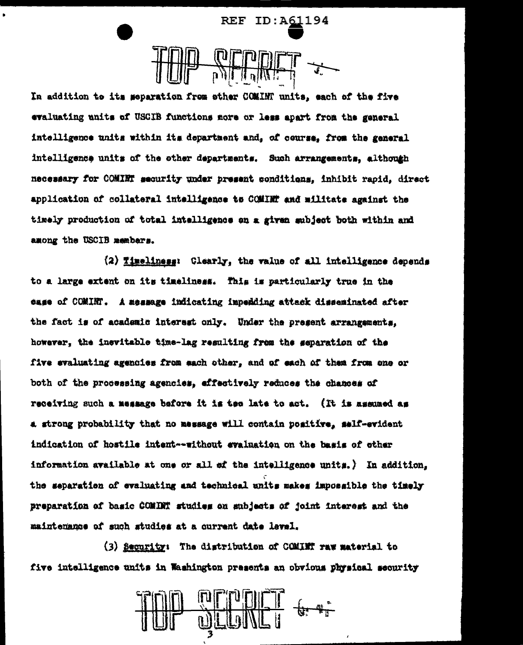ID:A61194 REF

In addition to its meparation from other COMINT units, each of the five evaluating units of USCIB functions more or less apart from the general intelligence units within its department and, of course, from the general intelligence units of the ether departments. Such arrangements, although necessary for COMINT security under present conditions. inhibit rapid, direct application of collateral intelligence to COMINT and militate against the timely production of total intelligence on a given subject both within and among the USCIB members.

(2) Timeliness: Clearly, the value of all intelligence depends to a large extent on its timeliness. This is particularly true in the case of COMINT. A measage indicating impedding attack disseminated after the fact is of academic interest only. Under the present arrangements. however, the inevitable time-lag resulting from the separation of the five evaluating agencies from each other, and of each of them from one or both of the processing agencies, effectively reduces the chances of receiving such a message before it is tee late to act. (It is assumed as a strong probability that no message will contain positive, self-evident indication of hostile intent--without evaluation on the basis of other information available at one or all  $\#$  the intelligence units.) In addition. the separation of evaluating and technical units makes impossible the timely preparation of basic COMINT studies on subjects of joint interest and the maintenance of such studies at a current date level.

(3) Security: The distribution of COMINT raw material to five intelligence units in Washington presents an obvious physical security

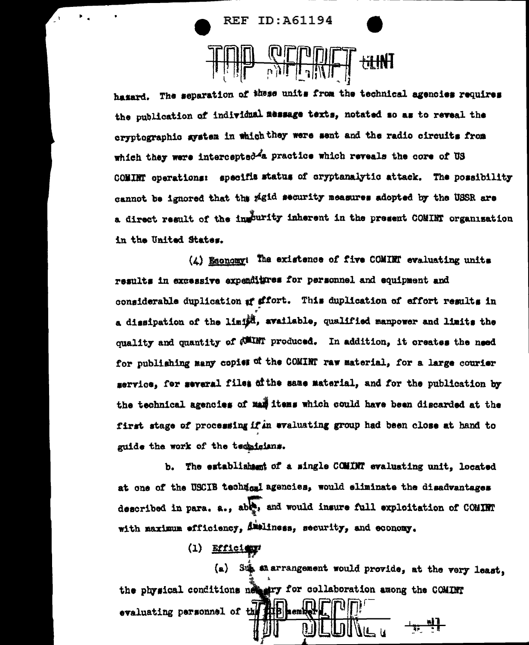**REF ID:A61194** 

hazard. The separation of these units from the technical agencies requires the publication of individual message texts, notated so as to reveal the cryptographic system in which they were sent and the radio circuits from which they were intercepted<sup>2</sup>a practice which reveals the core of US COMINT operations: specifis status of oryptanalytic attack. The possibility cannot be ignored that the pigid security measures adopted by the USSR are a direct result of the ingurity inherent in the present COMINT organisation in the United States.

<del>ri IN</del>T

 $(L)$  Esonomy: The existence of five COMINT evaluating units results in excessive expenditures for personnel and equipment and considerable duplication af affort. This duplication of effort results in a dissipation of the limit, available, qualified manpower and limits the quality and quantity of (WINT produced. In addition, it creates the need for publishing many copies of the COMINT raw material, for a large courier service, for several files of the same material, and for the publication by the technical agencies of man items which could have been discarded at the first stage of processing if in evaluating group had been close at hand to guide the work of the technicians.

b. The establishment of a single COMINT evaluating unit. located at one of the USCIB technosi agencies, would eliminate the disadvantages described in para, a., able, and would insure full exploitation of COMINT with maximum efficiency, Ammiliness, security, and economy.

 $(1)$  Efficient

(a) Sup an arrangement would provide, at the very least. the physical conditions net ary for collaboration among the COMINT evaluating personnel of the subset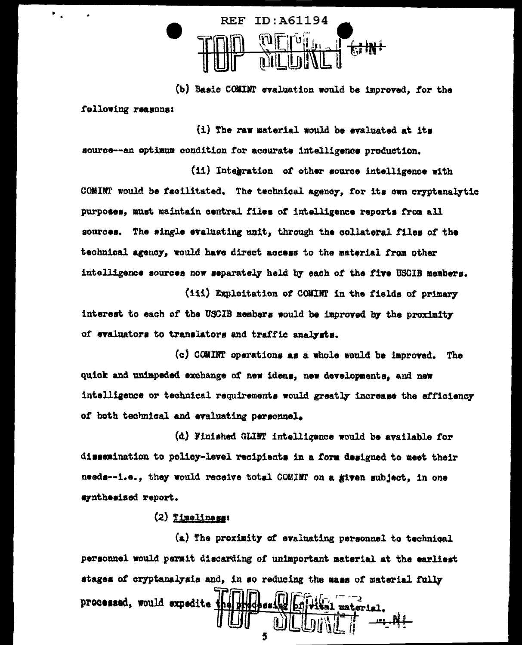

(b) Basic COMINT evaluation would be improved, for the following reasons:

(i) The raw material would be evaluated at its source--an optimum condition for accurate intelligence production.

 $\mathbf{F}_{\rm{max}}$ 

(ii) Integration of other source intelligence with COMINT would be facilitated. The technical agency, for its own cryptanalytic purposes, must maintain central files of intelligence reports from all sources. The single evaluating unit, through the collateral files of the technical agency, would have direct access to the material from other intelligence sources now separately held by each of the five USCIB members.

(111) Exploitation of COMINT in the fields of primary interest to each of the USCIB members would be improved by the proximity of evaluators to translators and traffic analysts.

(c) COMINT operations as a whole would be improved. The quick and unimpeded exchange of new ideas, new developments, and new intelligence or technical requirements would greatly increase the efficiency of both technical and evaluating personnel.

(d) Finished GLIMT intelligence would be available for dissemination to policy-level recipients in a form designed to meet their needs--i.e., they would receive total COMINT on a given subject, in one synthesized report.

## $(2)$  Timeliness:

(a) The proximity of evaluating personnel to technical personnel would permit discarding of unimportant material at the earliest stages of cryptanalysis and, in so reducing the mass of material fully processed, would expedite t

5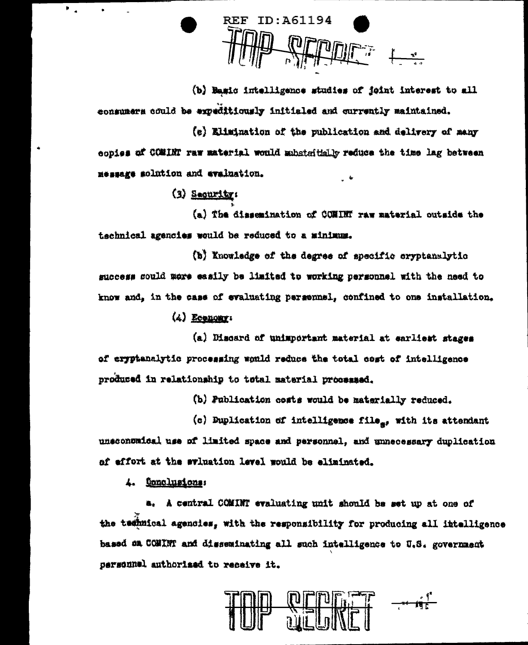**REF ID: A61194** 

(b) Basic intelligence studies of joint interest to all consumers could be expeditiously initialed and currently maintained.

(e) Elimination of the publication and delivery of many copies of COMINT raw material would mubstaithly reduce the time lag between message solution and evaluation.

 $(3)$  Sequrity:

(a) The dissemination of COMINT raw material outside the technical agencies would be reduced to a minimum.

(b) Knowledge of the degree of specific cryptanalytic success could more easily be limited to working personnel with the need to know and, in the case of evaluating persennel, confined to one installation.

 $(4)$  Economy:

(a) Discard of unimportant material at earliest stages of eryptanalytic processing smuld reduce the total cost of intelligence produced in relationship to total material processed.

(b) Publication costs would be materially reduced.

(c) Duplication of intelligence file<sub>s</sub>, with its attendant unsconomical use of limited space and personnel, and unnecessary duplication of effort at the sviuation level would be eliminated.

4. <u>Oonclusions</u>:

a. A central COMINT evaluating unit should be set up at one of the temmical agencies, with the responsibility for producing all intelligence based on COMINT and disseminating all such intelligence to U.S. government personnel authorized to receive it.